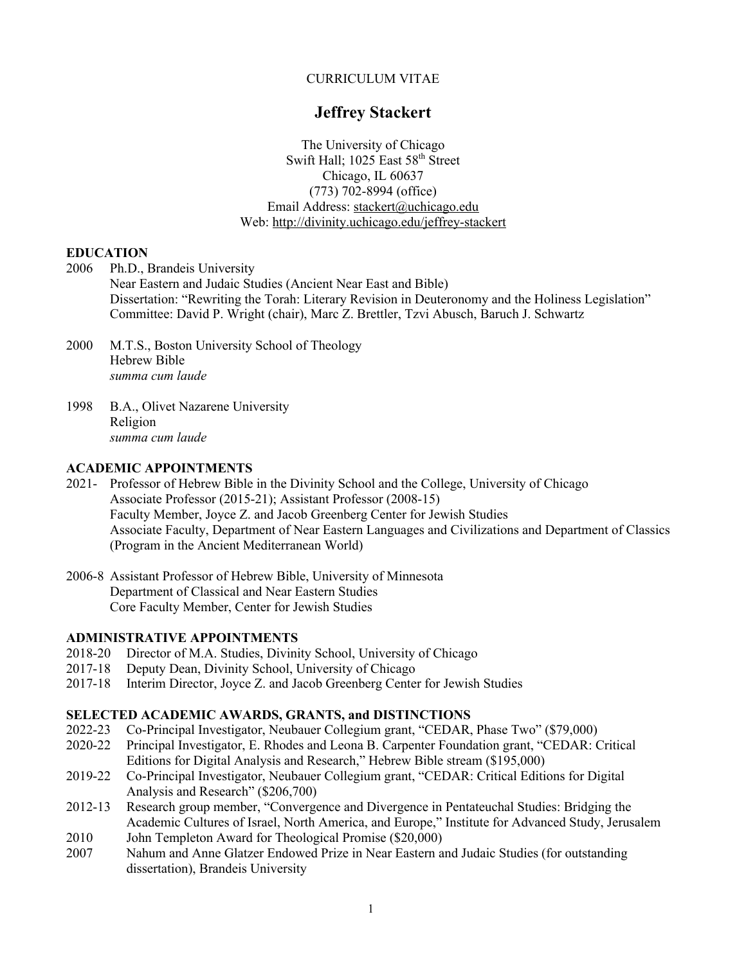### CURRICULUM VITAE

# **Jeffrey Stackert**

The University of Chicago Swift Hall; 1025 East 58<sup>th</sup> Street Chicago, IL 60637 (773) 702-8994 (office) Email Address: stackert@uchicago.edu Web: http://divinity.uchicago.edu/jeffrey-stackert

### **EDUCATION**

- 2006 Ph.D., Brandeis University Near Eastern and Judaic Studies (Ancient Near East and Bible) Dissertation: "Rewriting the Torah: Literary Revision in Deuteronomy and the Holiness Legislation" Committee: David P. Wright (chair), Marc Z. Brettler, Tzvi Abusch, Baruch J. Schwartz
- 2000 M.T.S., Boston University School of Theology Hebrew Bible *summa cum laude*
- 1998 B.A., Olivet Nazarene University Religion *summa cum laude*

### **ACADEMIC APPOINTMENTS**

- 2021- Professor of Hebrew Bible in the Divinity School and the College, University of Chicago Associate Professor (2015-21); Assistant Professor (2008-15) Faculty Member, Joyce Z. and Jacob Greenberg Center for Jewish Studies Associate Faculty, Department of Near Eastern Languages and Civilizations and Department of Classics (Program in the Ancient Mediterranean World)
- 2006-8 Assistant Professor of Hebrew Bible, University of Minnesota Department of Classical and Near Eastern Studies Core Faculty Member, Center for Jewish Studies

### **ADMINISTRATIVE APPOINTMENTS**

- 2018-20 Director of M.A. Studies, Divinity School, University of Chicago
- 2017-18 Deputy Dean, Divinity School, University of Chicago
- 2017-18 Interim Director, Joyce Z. and Jacob Greenberg Center for Jewish Studies

### **SELECTED ACADEMIC AWARDS, GRANTS, and DISTINCTIONS**

- 2022-23 Co-Principal Investigator, Neubauer Collegium grant, "CEDAR, Phase Two" (\$79,000)
- 2020-22 Principal Investigator, E. Rhodes and Leona B. Carpenter Foundation grant, "CEDAR: Critical Editions for Digital Analysis and Research," Hebrew Bible stream (\$195,000)
- 2019-22 Co-Principal Investigator, Neubauer Collegium grant, "CEDAR: Critical Editions for Digital Analysis and Research" (\$206,700)
- 2012-13 Research group member, "Convergence and Divergence in Pentateuchal Studies: Bridging the Academic Cultures of Israel, North America, and Europe," Institute for Advanced Study, Jerusalem
- 2010 John Templeton Award for Theological Promise (\$20,000)
- 2007 Nahum and Anne Glatzer Endowed Prize in Near Eastern and Judaic Studies (for outstanding dissertation), Brandeis University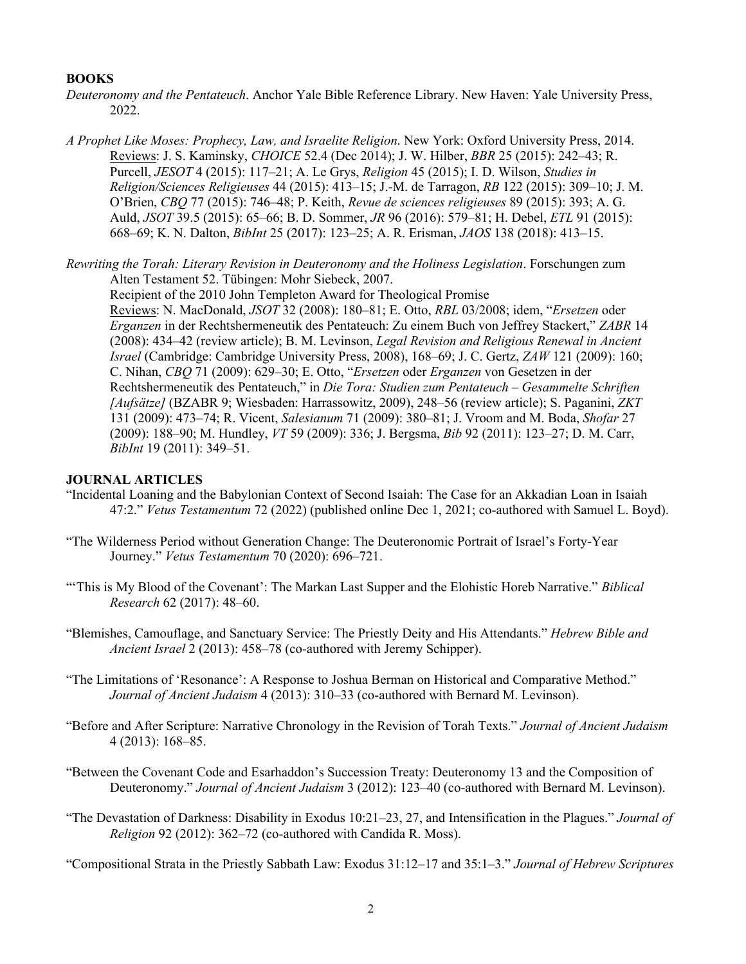### **BOOKS**

- *Deuteronomy and the Pentateuch*. Anchor Yale Bible Reference Library. New Haven: Yale University Press, 2022.
- *A Prophet Like Moses: Prophecy, Law, and Israelite Religion*. New York: Oxford University Press, 2014. Reviews: J. S. Kaminsky, *CHOICE* 52.4 (Dec 2014); J. W. Hilber, *BBR* 25 (2015): 242–43; R. Purcell, *JESOT* 4 (2015): 117–21; A. Le Grys, *Religion* 45 (2015); I. D. Wilson, *Studies in Religion/Sciences Religieuses* 44 (2015): 413–15; J.-M. de Tarragon, *RB* 122 (2015): 309–10; J. M. O'Brien, *CBQ* 77 (2015): 746–48; P. Keith, *Revue de sciences religieuses* 89 (2015): 393; A. G. Auld, *JSOT* 39.5 (2015): 65–66; B. D. Sommer, *JR* 96 (2016): 579–81; H. Debel, *ETL* 91 (2015): 668–69; K. N. Dalton, *BibInt* 25 (2017): 123–25; A. R. Erisman, *JAOS* 138 (2018): 413–15.
- *Rewriting the Torah: Literary Revision in Deuteronomy and the Holiness Legislation*. Forschungen zum Alten Testament 52. Tübingen: Mohr Siebeck, 2007.

Recipient of the 2010 John Templeton Award for Theological Promise Reviews: N. MacDonald, *JSOT* 32 (2008): 180–81; E. Otto, *RBL* 03/2008; idem, "*Ersetzen* oder *Erganzen* in der Rechtshermeneutik des Pentateuch: Zu einem Buch von Jeffrey Stackert," *ZABR* 14 (2008): 434–42 (review article); B. M. Levinson, *Legal Revision and Religious Renewal in Ancient Israel* (Cambridge: Cambridge University Press, 2008), 168–69; J. C. Gertz, *ZAW* 121 (2009): 160; C. Nihan, *CBQ* 71 (2009): 629–30; E. Otto, "*Ersetzen* oder *Erganzen* von Gesetzen in der Rechtshermeneutik des Pentateuch," in *Die Tora: Studien zum Pentateuch* – *Gesammelte Schriften [Aufsätze]* (BZABR 9; Wiesbaden: Harrassowitz, 2009), 248–56 (review article); S. Paganini, *ZKT* 131 (2009): 473–74; R. Vicent, *Salesianum* 71 (2009): 380–81; J. Vroom and M. Boda, *Shofar* 27 (2009): 188–90; M. Hundley, *VT* 59 (2009): 336; J. Bergsma, *Bib* 92 (2011): 123–27; D. M. Carr, *BibInt* 19 (2011): 349–51.

#### **JOURNAL ARTICLES**

- "Incidental Loaning and the Babylonian Context of Second Isaiah: The Case for an Akkadian Loan in Isaiah 47:2." *Vetus Testamentum* 72 (2022) (published online Dec 1, 2021; co-authored with Samuel L. Boyd).
- "The Wilderness Period without Generation Change: The Deuteronomic Portrait of Israel's Forty-Year Journey." *Vetus Testamentum* 70 (2020): 696–721.
- "'This is My Blood of the Covenant': The Markan Last Supper and the Elohistic Horeb Narrative." *Biblical Research* 62 (2017): 48–60.
- "Blemishes, Camouflage, and Sanctuary Service: The Priestly Deity and His Attendants." *Hebrew Bible and Ancient Israel* 2 (2013): 458–78 (co-authored with Jeremy Schipper).
- "The Limitations of 'Resonance': A Response to Joshua Berman on Historical and Comparative Method." *Journal of Ancient Judaism* 4 (2013): 310–33 (co-authored with Bernard M. Levinson).
- "Before and After Scripture: Narrative Chronology in the Revision of Torah Texts." *Journal of Ancient Judaism*  4 (2013): 168–85.
- "Between the Covenant Code and Esarhaddon's Succession Treaty: Deuteronomy 13 and the Composition of Deuteronomy." *Journal of Ancient Judaism* 3 (2012): 123–40 (co-authored with Bernard M. Levinson).
- "The Devastation of Darkness: Disability in Exodus 10:21–23, 27, and Intensification in the Plagues." *Journal of Religion* 92 (2012): 362–72 (co-authored with Candida R. Moss).

"Compositional Strata in the Priestly Sabbath Law: Exodus 31:12–17 and 35:1–3." *Journal of Hebrew Scriptures*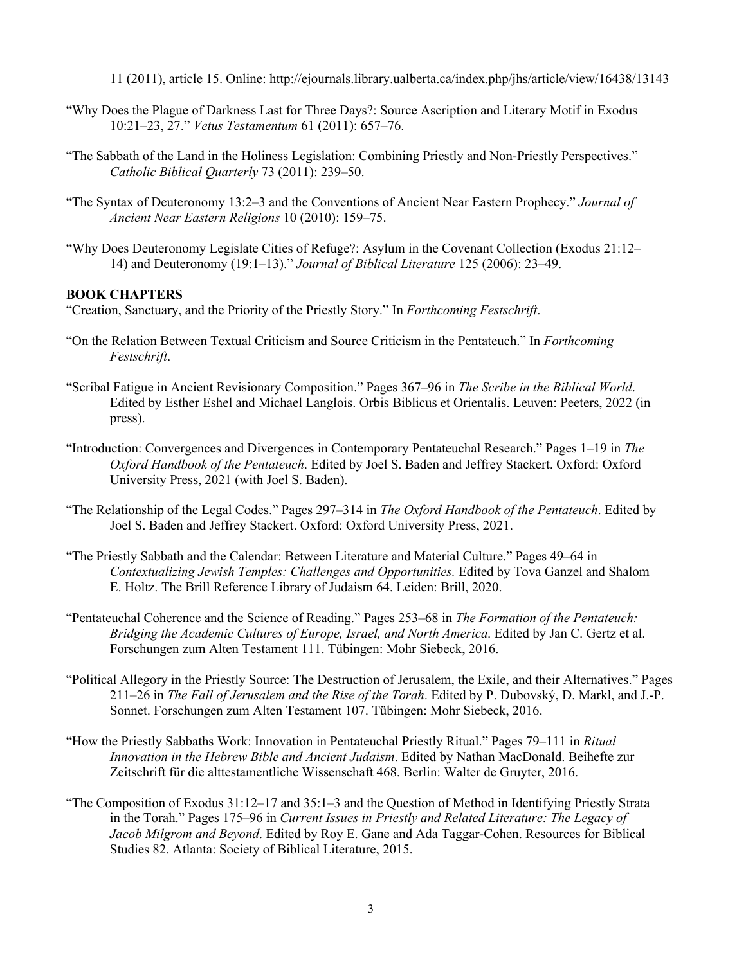11 (2011), article 15. Online: http://ejournals.library.ualberta.ca/index.php/jhs/article/view/16438/13143

- "Why Does the Plague of Darkness Last for Three Days?: Source Ascription and Literary Motif in Exodus 10:21–23, 27." *Vetus Testamentum* 61 (2011): 657–76.
- "The Sabbath of the Land in the Holiness Legislation: Combining Priestly and Non-Priestly Perspectives." *Catholic Biblical Quarterly* 73 (2011): 239–50.
- "The Syntax of Deuteronomy 13:2–3 and the Conventions of Ancient Near Eastern Prophecy." *Journal of Ancient Near Eastern Religions* 10 (2010): 159–75.
- "Why Does Deuteronomy Legislate Cities of Refuge?: Asylum in the Covenant Collection (Exodus 21:12– 14) and Deuteronomy (19:1–13)." *Journal of Biblical Literature* 125 (2006): 23–49.

### **BOOK CHAPTERS**

"Creation, Sanctuary, and the Priority of the Priestly Story." In *Forthcoming Festschrift*.

- "On the Relation Between Textual Criticism and Source Criticism in the Pentateuch." In *Forthcoming Festschrift*.
- "Scribal Fatigue in Ancient Revisionary Composition." Pages 367–96 in *The Scribe in the Biblical World*. Edited by Esther Eshel and Michael Langlois. Orbis Biblicus et Orientalis. Leuven: Peeters, 2022 (in press).
- "Introduction: Convergences and Divergences in Contemporary Pentateuchal Research." Pages 1–19 in *The Oxford Handbook of the Pentateuch*. Edited by Joel S. Baden and Jeffrey Stackert. Oxford: Oxford University Press, 2021 (with Joel S. Baden).
- "The Relationship of the Legal Codes." Pages 297–314 in *The Oxford Handbook of the Pentateuch*. Edited by Joel S. Baden and Jeffrey Stackert. Oxford: Oxford University Press, 2021.
- "The Priestly Sabbath and the Calendar: Between Literature and Material Culture." Pages 49–64 in *Contextualizing Jewish Temples: Challenges and Opportunities.* Edited by Tova Ganzel and Shalom E. Holtz. The Brill Reference Library of Judaism 64. Leiden: Brill, 2020.
- "Pentateuchal Coherence and the Science of Reading." Pages 253–68 in *The Formation of the Pentateuch: Bridging the Academic Cultures of Europe, Israel, and North America*. Edited by Jan C. Gertz et al. Forschungen zum Alten Testament 111. Tübingen: Mohr Siebeck, 2016.
- "Political Allegory in the Priestly Source: The Destruction of Jerusalem, the Exile, and their Alternatives." Pages 211–26 in *The Fall of Jerusalem and the Rise of the Torah*. Edited by P. Dubovský, D. Markl, and J.-P. Sonnet. Forschungen zum Alten Testament 107. Tübingen: Mohr Siebeck, 2016.
- "How the Priestly Sabbaths Work: Innovation in Pentateuchal Priestly Ritual." Pages 79–111 in *Ritual Innovation in the Hebrew Bible and Ancient Judaism*. Edited by Nathan MacDonald. Beihefte zur Zeitschrift für die alttestamentliche Wissenschaft 468. Berlin: Walter de Gruyter, 2016.
- "The Composition of Exodus 31:12–17 and 35:1–3 and the Question of Method in Identifying Priestly Strata in the Torah." Pages 175–96 in *Current Issues in Priestly and Related Literature: The Legacy of Jacob Milgrom and Beyond*. Edited by Roy E. Gane and Ada Taggar-Cohen. Resources for Biblical Studies 82. Atlanta: Society of Biblical Literature, 2015.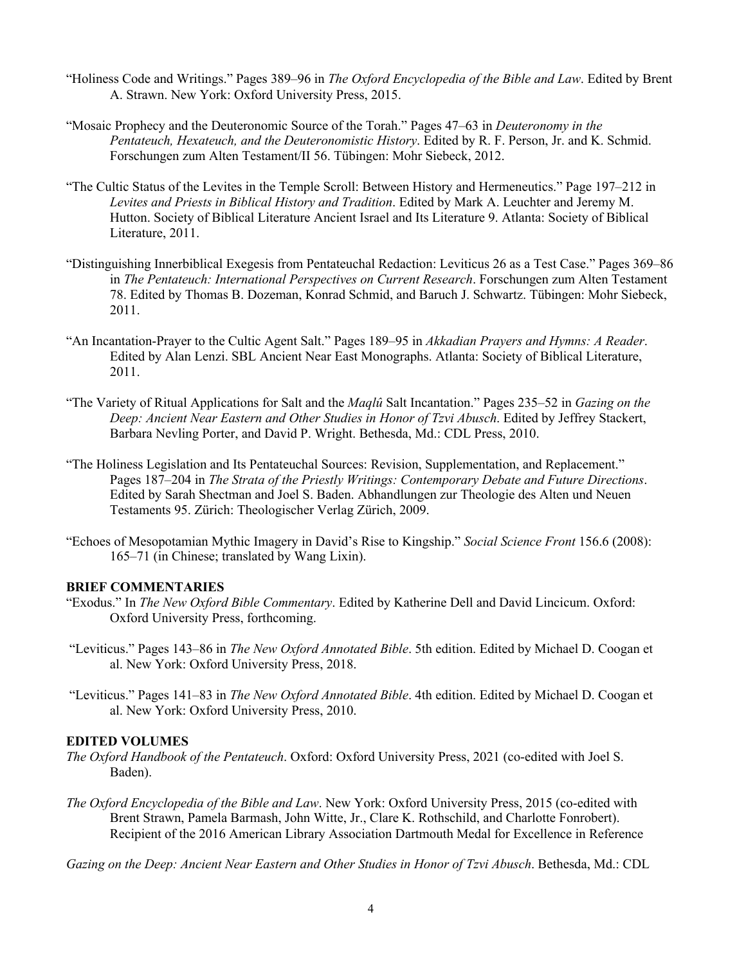- "Holiness Code and Writings." Pages 389–96 in *The Oxford Encyclopedia of the Bible and Law*. Edited by Brent A. Strawn. New York: Oxford University Press, 2015.
- "Mosaic Prophecy and the Deuteronomic Source of the Torah." Pages 47–63 in *Deuteronomy in the Pentateuch, Hexateuch, and the Deuteronomistic History*. Edited by R. F. Person, Jr. and K. Schmid. Forschungen zum Alten Testament/II 56. Tübingen: Mohr Siebeck, 2012.
- "The Cultic Status of the Levites in the Temple Scroll: Between History and Hermeneutics." Page 197–212 in *Levites and Priests in Biblical History and Tradition*. Edited by Mark A. Leuchter and Jeremy M. Hutton. Society of Biblical Literature Ancient Israel and Its Literature 9. Atlanta: Society of Biblical Literature, 2011.
- "Distinguishing Innerbiblical Exegesis from Pentateuchal Redaction: Leviticus 26 as a Test Case." Pages 369–86 in *The Pentateuch: International Perspectives on Current Research*. Forschungen zum Alten Testament 78. Edited by Thomas B. Dozeman, Konrad Schmid, and Baruch J. Schwartz. Tübingen: Mohr Siebeck, 2011.
- "An Incantation-Prayer to the Cultic Agent Salt." Pages 189–95 in *Akkadian Prayers and Hymns: A Reader*. Edited by Alan Lenzi. SBL Ancient Near East Monographs. Atlanta: Society of Biblical Literature, 2011.
- "The Variety of Ritual Applications for Salt and the *Maqlû* Salt Incantation." Pages 235–52 in *Gazing on the Deep: Ancient Near Eastern and Other Studies in Honor of Tzvi Abusch*. Edited by Jeffrey Stackert, Barbara Nevling Porter, and David P. Wright. Bethesda, Md.: CDL Press, 2010.
- "The Holiness Legislation and Its Pentateuchal Sources: Revision, Supplementation, and Replacement." Pages 187–204 in *The Strata of the Priestly Writings: Contemporary Debate and Future Directions*. Edited by Sarah Shectman and Joel S. Baden. Abhandlungen zur Theologie des Alten und Neuen Testaments 95. Zürich: Theologischer Verlag Zürich, 2009.
- "Echoes of Mesopotamian Mythic Imagery in David's Rise to Kingship." *Social Science Front* 156.6 (2008): 165–71 (in Chinese; translated by Wang Lixin).

### **BRIEF COMMENTARIES**

- "Exodus." In *The New Oxford Bible Commentary*. Edited by Katherine Dell and David Lincicum. Oxford: Oxford University Press, forthcoming.
- "Leviticus." Pages 143–86 in *The New Oxford Annotated Bible*. 5th edition. Edited by Michael D. Coogan et al. New York: Oxford University Press, 2018.
- "Leviticus." Pages 141–83 in *The New Oxford Annotated Bible*. 4th edition. Edited by Michael D. Coogan et al. New York: Oxford University Press, 2010.

#### **EDITED VOLUMES**

- *The Oxford Handbook of the Pentateuch*. Oxford: Oxford University Press, 2021 (co-edited with Joel S. Baden).
- *The Oxford Encyclopedia of the Bible and Law*. New York: Oxford University Press, 2015 (co-edited with Brent Strawn, Pamela Barmash, John Witte, Jr., Clare K. Rothschild, and Charlotte Fonrobert). Recipient of the 2016 American Library Association Dartmouth Medal for Excellence in Reference

*Gazing on the Deep: Ancient Near Eastern and Other Studies in Honor of Tzvi Abusch*. Bethesda, Md.: CDL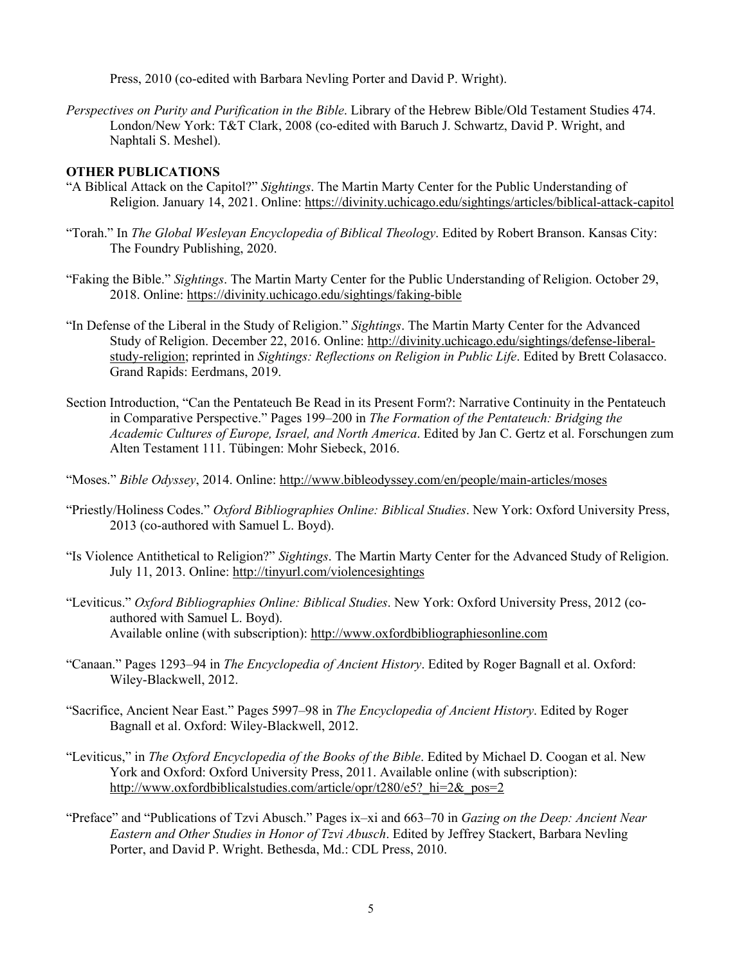Press, 2010 (co-edited with Barbara Nevling Porter and David P. Wright).

*Perspectives on Purity and Purification in the Bible*. Library of the Hebrew Bible/Old Testament Studies 474. London/New York: T&T Clark, 2008 (co-edited with Baruch J. Schwartz, David P. Wright, and Naphtali S. Meshel).

#### **OTHER PUBLICATIONS**

- "A Biblical Attack on the Capitol?" *Sightings*. The Martin Marty Center for the Public Understanding of Religion. January 14, 2021. Online: https://divinity.uchicago.edu/sightings/articles/biblical-attack-capitol
- "Torah." In *The Global Wesleyan Encyclopedia of Biblical Theology*. Edited by Robert Branson. Kansas City: The Foundry Publishing, 2020.
- "Faking the Bible." *Sightings*. The Martin Marty Center for the Public Understanding of Religion. October 29, 2018. Online: https://divinity.uchicago.edu/sightings/faking-bible
- "In Defense of the Liberal in the Study of Religion." *Sightings*. The Martin Marty Center for the Advanced Study of Religion. December 22, 2016. Online: http://divinity.uchicago.edu/sightings/defense-liberalstudy-religion; reprinted in *Sightings: Reflections on Religion in Public Life*. Edited by Brett Colasacco. Grand Rapids: Eerdmans, 2019.
- Section Introduction, "Can the Pentateuch Be Read in its Present Form?: Narrative Continuity in the Pentateuch in Comparative Perspective." Pages 199–200 in *The Formation of the Pentateuch: Bridging the Academic Cultures of Europe, Israel, and North America*. Edited by Jan C. Gertz et al. Forschungen zum Alten Testament 111. Tübingen: Mohr Siebeck, 2016.

"Moses." *Bible Odyssey*, 2014. Online: http://www.bibleodyssey.com/en/people/main-articles/moses

- "Priestly/Holiness Codes." *Oxford Bibliographies Online: Biblical Studies*. New York: Oxford University Press, 2013 (co-authored with Samuel L. Boyd).
- "Is Violence Antithetical to Religion?" *Sightings*. The Martin Marty Center for the Advanced Study of Religion. July 11, 2013. Online: http://tinyurl.com/violencesightings
- "Leviticus." *Oxford Bibliographies Online: Biblical Studies*. New York: Oxford University Press, 2012 (coauthored with Samuel L. Boyd). Available online (with subscription): http://www.oxfordbibliographiesonline.com
- "Canaan." Pages 1293–94 in *The Encyclopedia of Ancient History*. Edited by Roger Bagnall et al. Oxford: Wiley-Blackwell, 2012.
- "Sacrifice, Ancient Near East." Pages 5997–98 in *The Encyclopedia of Ancient History*. Edited by Roger Bagnall et al. Oxford: Wiley-Blackwell, 2012.
- "Leviticus," in *The Oxford Encyclopedia of the Books of the Bible*. Edited by Michael D. Coogan et al. New York and Oxford: Oxford University Press, 2011. Available online (with subscription): http://www.oxfordbiblicalstudies.com/article/opr/t280/e5? hi=2& pos=2
- "Preface" and "Publications of Tzvi Abusch." Pages ix–xi and 663–70 in *Gazing on the Deep: Ancient Near Eastern and Other Studies in Honor of Tzvi Abusch*. Edited by Jeffrey Stackert, Barbara Nevling Porter, and David P. Wright. Bethesda, Md.: CDL Press, 2010.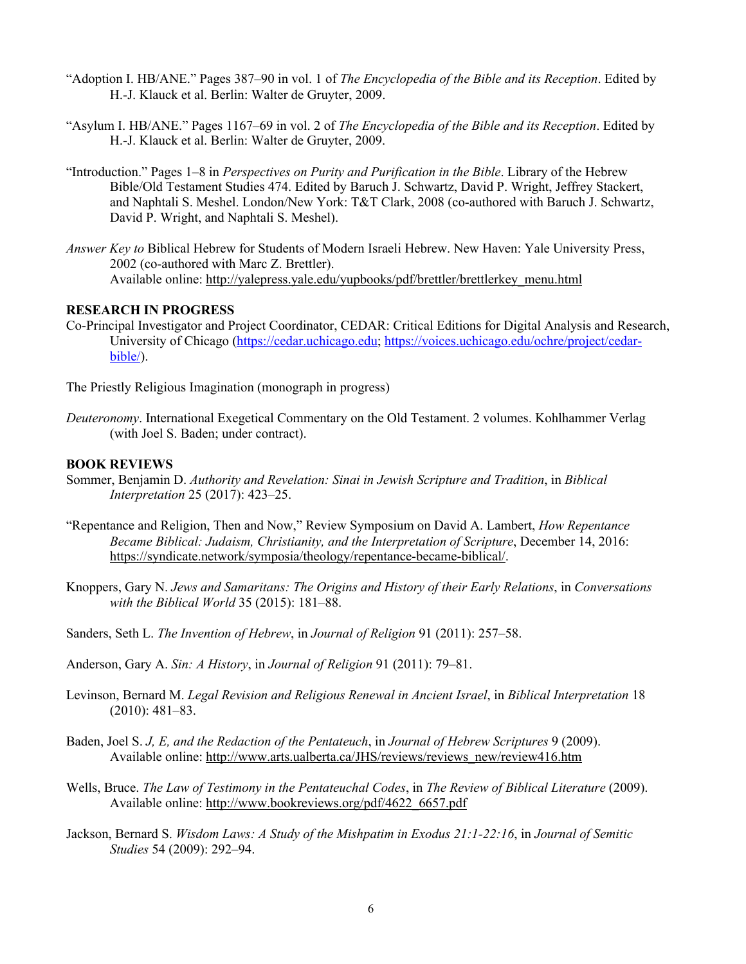- "Adoption I. HB/ANE." Pages 387–90 in vol. 1 of *The Encyclopedia of the Bible and its Reception*. Edited by H.-J. Klauck et al. Berlin: Walter de Gruyter, 2009.
- "Asylum I. HB/ANE." Pages 1167–69 in vol. 2 of *The Encyclopedia of the Bible and its Reception*. Edited by H.-J. Klauck et al. Berlin: Walter de Gruyter, 2009.
- "Introduction." Pages 1–8 in *Perspectives on Purity and Purification in the Bible*. Library of the Hebrew Bible/Old Testament Studies 474. Edited by Baruch J. Schwartz, David P. Wright, Jeffrey Stackert, and Naphtali S. Meshel. London/New York: T&T Clark, 2008 (co-authored with Baruch J. Schwartz, David P. Wright, and Naphtali S. Meshel).
- *Answer Key to* Biblical Hebrew for Students of Modern Israeli Hebrew. New Haven: Yale University Press, 2002 (co-authored with Marc Z. Brettler). Available online: http://yalepress.yale.edu/yupbooks/pdf/brettler/brettlerkey\_menu.html

# **RESEARCH IN PROGRESS**

Co-Principal Investigator and Project Coordinator, CEDAR: Critical Editions for Digital Analysis and Research, University of Chicago (https://cedar.uchicago.edu; https://voices.uchicago.edu/ochre/project/cedarbible/).

The Priestly Religious Imagination (monograph in progress)

*Deuteronomy*. International Exegetical Commentary on the Old Testament. 2 volumes. Kohlhammer Verlag (with Joel S. Baden; under contract).

#### **BOOK REVIEWS**

- Sommer, Benjamin D. *Authority and Revelation: Sinai in Jewish Scripture and Tradition*, in *Biblical Interpretation* 25 (2017): 423–25.
- "Repentance and Religion, Then and Now," Review Symposium on David A. Lambert, *How Repentance Became Biblical: Judaism, Christianity, and the Interpretation of Scripture*, December 14, 2016: https://syndicate.network/symposia/theology/repentance-became-biblical/.
- Knoppers, Gary N. *Jews and Samaritans: The Origins and History of their Early Relations*, in *Conversations with the Biblical World* 35 (2015): 181–88.
- Sanders, Seth L. *The Invention of Hebrew*, in *Journal of Religion* 91 (2011): 257–58.
- Anderson, Gary A. *Sin: A History*, in *Journal of Religion* 91 (2011): 79–81.
- Levinson, Bernard M. *Legal Revision and Religious Renewal in Ancient Israel*, in *Biblical Interpretation* 18 (2010): 481–83.
- Baden, Joel S. *J, E, and the Redaction of the Pentateuch*, in *Journal of Hebrew Scriptures* 9 (2009). Available online: http://www.arts.ualberta.ca/JHS/reviews/reviews\_new/review416.htm
- Wells, Bruce. *The Law of Testimony in the Pentateuchal Codes*, in *The Review of Biblical Literature* (2009). Available online: http://www.bookreviews.org/pdf/4622\_6657.pdf
- Jackson, Bernard S. *Wisdom Laws: A Study of the Mishpatim in Exodus 21:1-22:16*, in *Journal of Semitic Studies* 54 (2009): 292–94.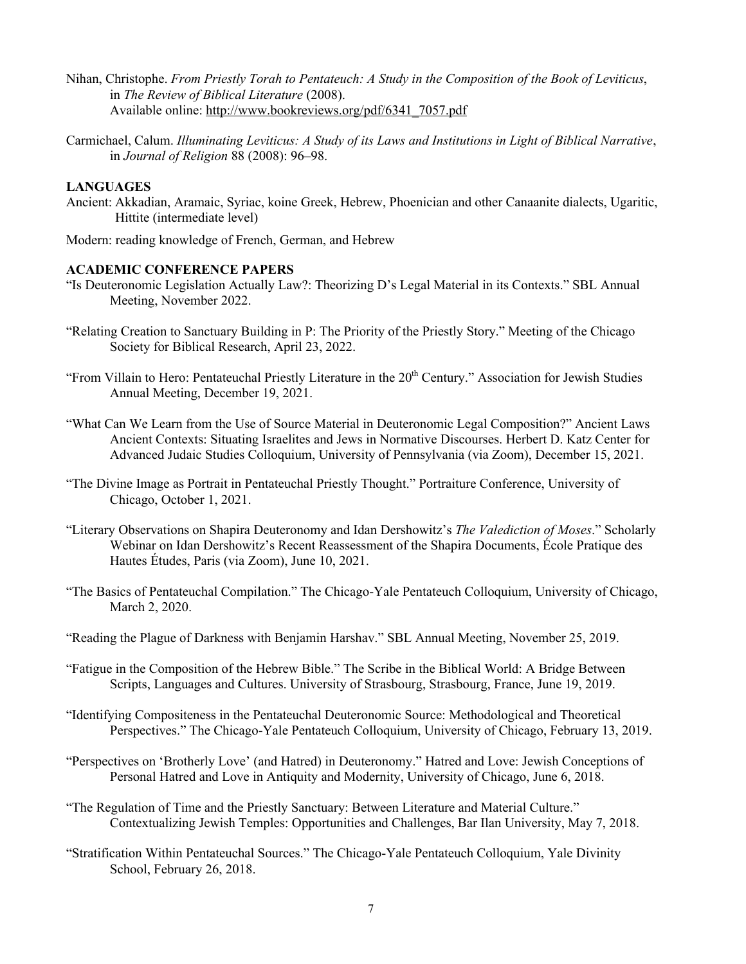- Nihan, Christophe. *From Priestly Torah to Pentateuch: A Study in the Composition of the Book of Leviticus*, in *The Review of Biblical Literature* (2008). Available online: http://www.bookreviews.org/pdf/6341\_7057.pdf
- Carmichael, Calum. *Illuminating Leviticus: A Study of its Laws and Institutions in Light of Biblical Narrative*, in *Journal of Religion* 88 (2008): 96–98.

### **LANGUAGES**

Ancient: Akkadian, Aramaic, Syriac, koine Greek, Hebrew, Phoenician and other Canaanite dialects, Ugaritic, Hittite (intermediate level)

Modern: reading knowledge of French, German, and Hebrew

### **ACADEMIC CONFERENCE PAPERS**

- "Is Deuteronomic Legislation Actually Law?: Theorizing D's Legal Material in its Contexts." SBL Annual Meeting, November 2022.
- "Relating Creation to Sanctuary Building in P: The Priority of the Priestly Story." Meeting of the Chicago Society for Biblical Research, April 23, 2022.
- "From Villain to Hero: Pentateuchal Priestly Literature in the 20<sup>th</sup> Century." Association for Jewish Studies Annual Meeting, December 19, 2021.
- "What Can We Learn from the Use of Source Material in Deuteronomic Legal Composition?" Ancient Laws Ancient Contexts: Situating Israelites and Jews in Normative Discourses. Herbert D. Katz Center for Advanced Judaic Studies Colloquium, University of Pennsylvania (via Zoom), December 15, 2021.
- "The Divine Image as Portrait in Pentateuchal Priestly Thought." Portraiture Conference, University of Chicago, October 1, 2021.
- "Literary Observations on Shapira Deuteronomy and Idan Dershowitz's *The Valediction of Moses*." Scholarly Webinar on Idan Dershowitz's Recent Reassessment of the Shapira Documents, École Pratique des Hautes Études, Paris (via Zoom), June 10, 2021.
- "The Basics of Pentateuchal Compilation." The Chicago-Yale Pentateuch Colloquium, University of Chicago, March 2, 2020.
- "Reading the Plague of Darkness with Benjamin Harshav." SBL Annual Meeting, November 25, 2019.
- "Fatigue in the Composition of the Hebrew Bible." The Scribe in the Biblical World: A Bridge Between Scripts, Languages and Cultures. University of Strasbourg, Strasbourg, France, June 19, 2019.
- "Identifying Compositeness in the Pentateuchal Deuteronomic Source: Methodological and Theoretical Perspectives." The Chicago-Yale Pentateuch Colloquium, University of Chicago, February 13, 2019.
- "Perspectives on 'Brotherly Love' (and Hatred) in Deuteronomy." Hatred and Love: Jewish Conceptions of Personal Hatred and Love in Antiquity and Modernity, University of Chicago, June 6, 2018.
- "The Regulation of Time and the Priestly Sanctuary: Between Literature and Material Culture." Contextualizing Jewish Temples: Opportunities and Challenges, Bar Ilan University, May 7, 2018.
- "Stratification Within Pentateuchal Sources." The Chicago-Yale Pentateuch Colloquium, Yale Divinity School, February 26, 2018.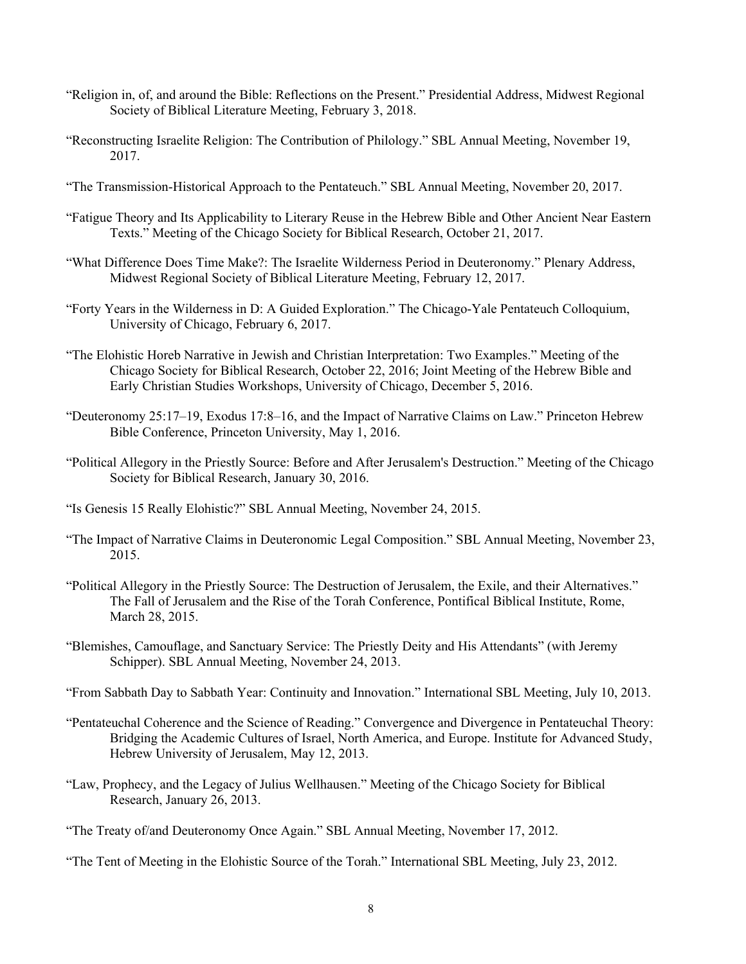- "Religion in, of, and around the Bible: Reflections on the Present." Presidential Address, Midwest Regional Society of Biblical Literature Meeting, February 3, 2018.
- "Reconstructing Israelite Religion: The Contribution of Philology." SBL Annual Meeting, November 19, 2017.
- "The Transmission-Historical Approach to the Pentateuch." SBL Annual Meeting, November 20, 2017.
- "Fatigue Theory and Its Applicability to Literary Reuse in the Hebrew Bible and Other Ancient Near Eastern Texts." Meeting of the Chicago Society for Biblical Research, October 21, 2017.
- "What Difference Does Time Make?: The Israelite Wilderness Period in Deuteronomy." Plenary Address, Midwest Regional Society of Biblical Literature Meeting, February 12, 2017.
- "Forty Years in the Wilderness in D: A Guided Exploration." The Chicago-Yale Pentateuch Colloquium, University of Chicago, February 6, 2017.
- "The Elohistic Horeb Narrative in Jewish and Christian Interpretation: Two Examples." Meeting of the Chicago Society for Biblical Research, October 22, 2016; Joint Meeting of the Hebrew Bible and Early Christian Studies Workshops, University of Chicago, December 5, 2016.
- "Deuteronomy 25:17–19, Exodus 17:8–16, and the Impact of Narrative Claims on Law." Princeton Hebrew Bible Conference, Princeton University, May 1, 2016.
- "Political Allegory in the Priestly Source: Before and After Jerusalem's Destruction." Meeting of the Chicago Society for Biblical Research, January 30, 2016.
- "Is Genesis 15 Really Elohistic?" SBL Annual Meeting, November 24, 2015.
- "The Impact of Narrative Claims in Deuteronomic Legal Composition." SBL Annual Meeting, November 23, 2015.
- "Political Allegory in the Priestly Source: The Destruction of Jerusalem, the Exile, and their Alternatives." The Fall of Jerusalem and the Rise of the Torah Conference, Pontifical Biblical Institute, Rome, March 28, 2015.
- "Blemishes, Camouflage, and Sanctuary Service: The Priestly Deity and His Attendants" (with Jeremy Schipper). SBL Annual Meeting, November 24, 2013.
- "From Sabbath Day to Sabbath Year: Continuity and Innovation." International SBL Meeting, July 10, 2013.
- "Pentateuchal Coherence and the Science of Reading." Convergence and Divergence in Pentateuchal Theory: Bridging the Academic Cultures of Israel, North America, and Europe. Institute for Advanced Study, Hebrew University of Jerusalem, May 12, 2013.
- "Law, Prophecy, and the Legacy of Julius Wellhausen." Meeting of the Chicago Society for Biblical Research, January 26, 2013.

"The Tent of Meeting in the Elohistic Source of the Torah." International SBL Meeting, July 23, 2012.

<sup>&</sup>quot;The Treaty of/and Deuteronomy Once Again." SBL Annual Meeting, November 17, 2012.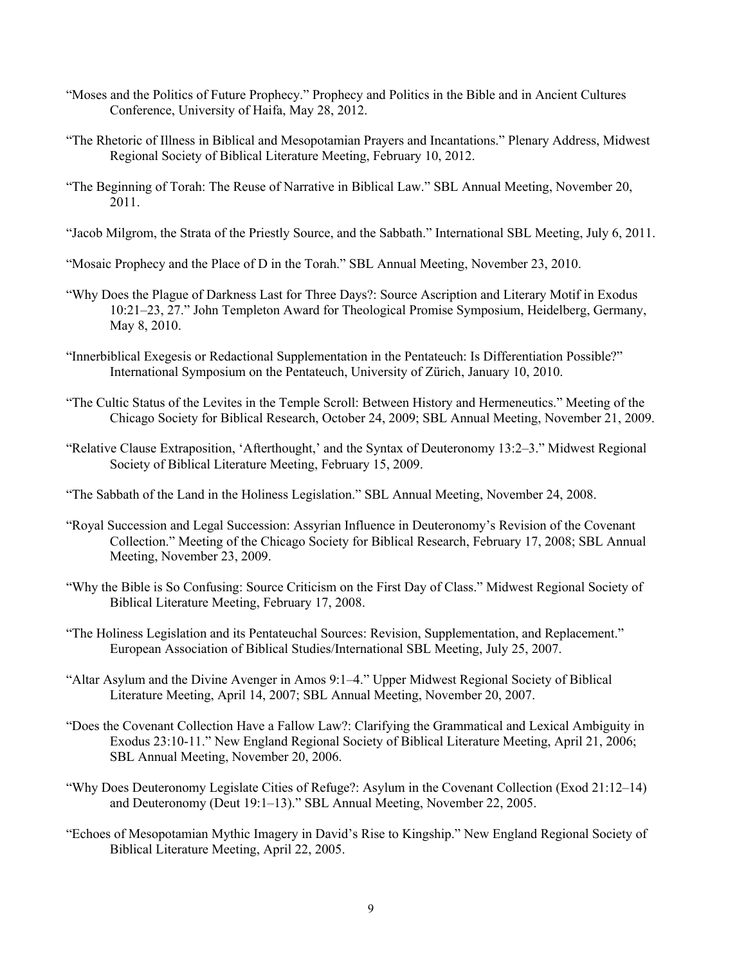- "Moses and the Politics of Future Prophecy." Prophecy and Politics in the Bible and in Ancient Cultures Conference, University of Haifa, May 28, 2012.
- "The Rhetoric of Illness in Biblical and Mesopotamian Prayers and Incantations." Plenary Address, Midwest Regional Society of Biblical Literature Meeting, February 10, 2012.
- "The Beginning of Torah: The Reuse of Narrative in Biblical Law." SBL Annual Meeting, November 20, 2011.
- "Jacob Milgrom, the Strata of the Priestly Source, and the Sabbath." International SBL Meeting, July 6, 2011.
- "Mosaic Prophecy and the Place of D in the Torah." SBL Annual Meeting, November 23, 2010.
- "Why Does the Plague of Darkness Last for Three Days?: Source Ascription and Literary Motif in Exodus 10:21–23, 27." John Templeton Award for Theological Promise Symposium, Heidelberg, Germany, May 8, 2010.
- "Innerbiblical Exegesis or Redactional Supplementation in the Pentateuch: Is Differentiation Possible?" International Symposium on the Pentateuch, University of Zürich, January 10, 2010.
- "The Cultic Status of the Levites in the Temple Scroll: Between History and Hermeneutics." Meeting of the Chicago Society for Biblical Research, October 24, 2009; SBL Annual Meeting, November 21, 2009.
- "Relative Clause Extraposition, 'Afterthought,' and the Syntax of Deuteronomy 13:2–3." Midwest Regional Society of Biblical Literature Meeting, February 15, 2009.
- "The Sabbath of the Land in the Holiness Legislation." SBL Annual Meeting, November 24, 2008.
- "Royal Succession and Legal Succession: Assyrian Influence in Deuteronomy's Revision of the Covenant Collection." Meeting of the Chicago Society for Biblical Research, February 17, 2008; SBL Annual Meeting, November 23, 2009.
- "Why the Bible is So Confusing: Source Criticism on the First Day of Class." Midwest Regional Society of Biblical Literature Meeting, February 17, 2008.
- "The Holiness Legislation and its Pentateuchal Sources: Revision, Supplementation, and Replacement." European Association of Biblical Studies/International SBL Meeting, July 25, 2007.
- "Altar Asylum and the Divine Avenger in Amos 9:1–4." Upper Midwest Regional Society of Biblical Literature Meeting, April 14, 2007; SBL Annual Meeting, November 20, 2007.
- "Does the Covenant Collection Have a Fallow Law?: Clarifying the Grammatical and Lexical Ambiguity in Exodus 23:10-11." New England Regional Society of Biblical Literature Meeting, April 21, 2006; SBL Annual Meeting, November 20, 2006.
- "Why Does Deuteronomy Legislate Cities of Refuge?: Asylum in the Covenant Collection (Exod 21:12–14) and Deuteronomy (Deut 19:1–13)." SBL Annual Meeting, November 22, 2005.
- "Echoes of Mesopotamian Mythic Imagery in David's Rise to Kingship." New England Regional Society of Biblical Literature Meeting, April 22, 2005.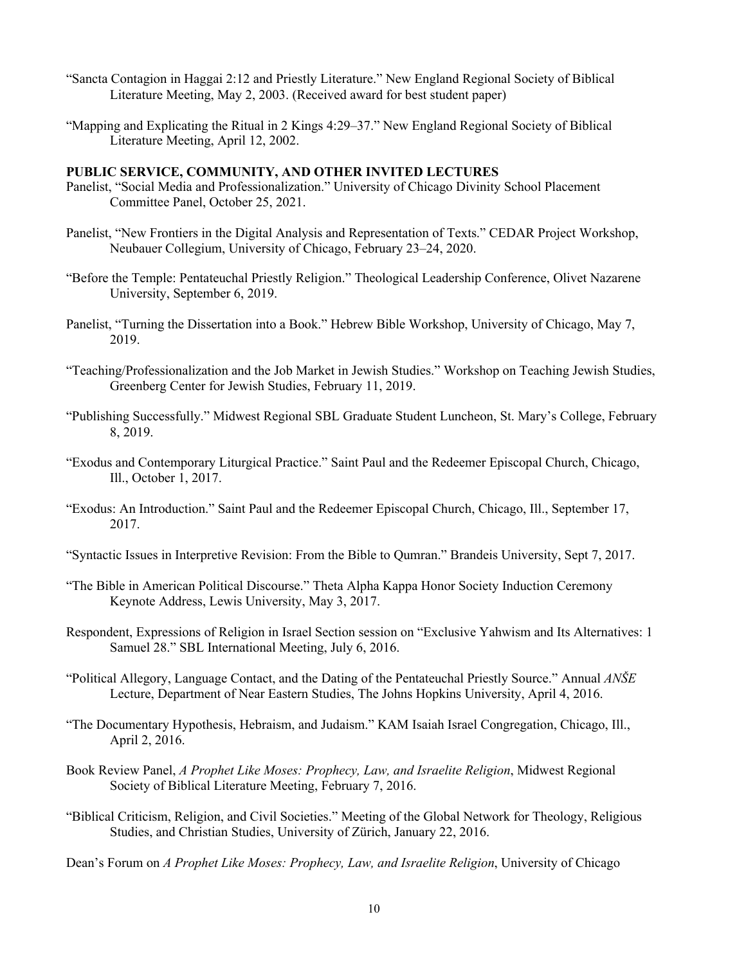- "Sancta Contagion in Haggai 2:12 and Priestly Literature." New England Regional Society of Biblical Literature Meeting, May 2, 2003. (Received award for best student paper)
- "Mapping and Explicating the Ritual in 2 Kings 4:29–37." New England Regional Society of Biblical Literature Meeting, April 12, 2002.

### **PUBLIC SERVICE, COMMUNITY, AND OTHER INVITED LECTURES**

- Panelist, "Social Media and Professionalization." University of Chicago Divinity School Placement Committee Panel, October 25, 2021.
- Panelist, "New Frontiers in the Digital Analysis and Representation of Texts." CEDAR Project Workshop, Neubauer Collegium, University of Chicago, February 23–24, 2020.
- "Before the Temple: Pentateuchal Priestly Religion." Theological Leadership Conference, Olivet Nazarene University, September 6, 2019.
- Panelist, "Turning the Dissertation into a Book." Hebrew Bible Workshop, University of Chicago, May 7, 2019.
- "Teaching/Professionalization and the Job Market in Jewish Studies." Workshop on Teaching Jewish Studies, Greenberg Center for Jewish Studies, February 11, 2019.
- "Publishing Successfully." Midwest Regional SBL Graduate Student Luncheon, St. Mary's College, February 8, 2019.
- "Exodus and Contemporary Liturgical Practice." Saint Paul and the Redeemer Episcopal Church, Chicago, Ill., October 1, 2017.
- "Exodus: An Introduction." Saint Paul and the Redeemer Episcopal Church, Chicago, Ill., September 17, 2017.
- "Syntactic Issues in Interpretive Revision: From the Bible to Qumran." Brandeis University, Sept 7, 2017.
- "The Bible in American Political Discourse." Theta Alpha Kappa Honor Society Induction Ceremony Keynote Address, Lewis University, May 3, 2017.
- Respondent, Expressions of Religion in Israel Section session on "Exclusive Yahwism and Its Alternatives: 1 Samuel 28." SBL International Meeting, July 6, 2016.
- "Political Allegory, Language Contact, and the Dating of the Pentateuchal Priestly Source." Annual *ANŠE* Lecture, Department of Near Eastern Studies, The Johns Hopkins University, April 4, 2016.
- "The Documentary Hypothesis, Hebraism, and Judaism." KAM Isaiah Israel Congregation, Chicago, Ill., April 2, 2016.
- Book Review Panel, *A Prophet Like Moses: Prophecy, Law, and Israelite Religion*, Midwest Regional Society of Biblical Literature Meeting, February 7, 2016.
- "Biblical Criticism, Religion, and Civil Societies." Meeting of the Global Network for Theology, Religious Studies, and Christian Studies, University of Zürich, January 22, 2016.

Dean's Forum on *A Prophet Like Moses: Prophecy, Law, and Israelite Religion*, University of Chicago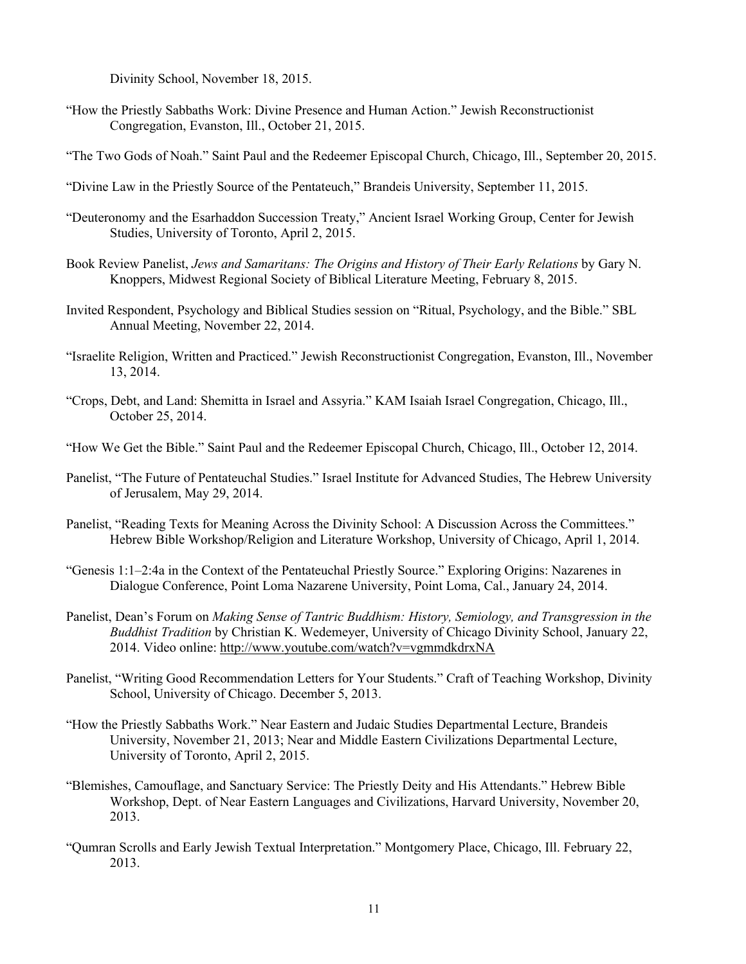Divinity School, November 18, 2015.

"How the Priestly Sabbaths Work: Divine Presence and Human Action." Jewish Reconstructionist Congregation, Evanston, Ill., October 21, 2015.

"The Two Gods of Noah." Saint Paul and the Redeemer Episcopal Church, Chicago, Ill., September 20, 2015.

- "Divine Law in the Priestly Source of the Pentateuch," Brandeis University, September 11, 2015.
- "Deuteronomy and the Esarhaddon Succession Treaty," Ancient Israel Working Group, Center for Jewish Studies, University of Toronto, April 2, 2015.
- Book Review Panelist, *Jews and Samaritans: The Origins and History of Their Early Relations* by Gary N. Knoppers, Midwest Regional Society of Biblical Literature Meeting, February 8, 2015.
- Invited Respondent, Psychology and Biblical Studies session on "Ritual, Psychology, and the Bible." SBL Annual Meeting, November 22, 2014.
- "Israelite Religion, Written and Practiced." Jewish Reconstructionist Congregation, Evanston, Ill., November 13, 2014.
- "Crops, Debt, and Land: Shemitta in Israel and Assyria." KAM Isaiah Israel Congregation, Chicago, Ill., October 25, 2014.
- "How We Get the Bible." Saint Paul and the Redeemer Episcopal Church, Chicago, Ill., October 12, 2014.
- Panelist, "The Future of Pentateuchal Studies." Israel Institute for Advanced Studies, The Hebrew University of Jerusalem, May 29, 2014.
- Panelist, "Reading Texts for Meaning Across the Divinity School: A Discussion Across the Committees." Hebrew Bible Workshop/Religion and Literature Workshop, University of Chicago, April 1, 2014.
- "Genesis 1:1–2:4a in the Context of the Pentateuchal Priestly Source." Exploring Origins: Nazarenes in Dialogue Conference, Point Loma Nazarene University, Point Loma, Cal., January 24, 2014.
- Panelist, Dean's Forum on *Making Sense of Tantric Buddhism: History, Semiology, and Transgression in the Buddhist Tradition* by Christian K. Wedemeyer, University of Chicago Divinity School, January 22, 2014. Video online: http://www.youtube.com/watch?v=vgmmdkdrxNA
- Panelist, "Writing Good Recommendation Letters for Your Students." Craft of Teaching Workshop, Divinity School, University of Chicago. December 5, 2013.
- "How the Priestly Sabbaths Work." Near Eastern and Judaic Studies Departmental Lecture, Brandeis University, November 21, 2013; Near and Middle Eastern Civilizations Departmental Lecture, University of Toronto, April 2, 2015.
- "Blemishes, Camouflage, and Sanctuary Service: The Priestly Deity and His Attendants." Hebrew Bible Workshop, Dept. of Near Eastern Languages and Civilizations, Harvard University, November 20, 2013.
- "Qumran Scrolls and Early Jewish Textual Interpretation." Montgomery Place, Chicago, Ill. February 22, 2013.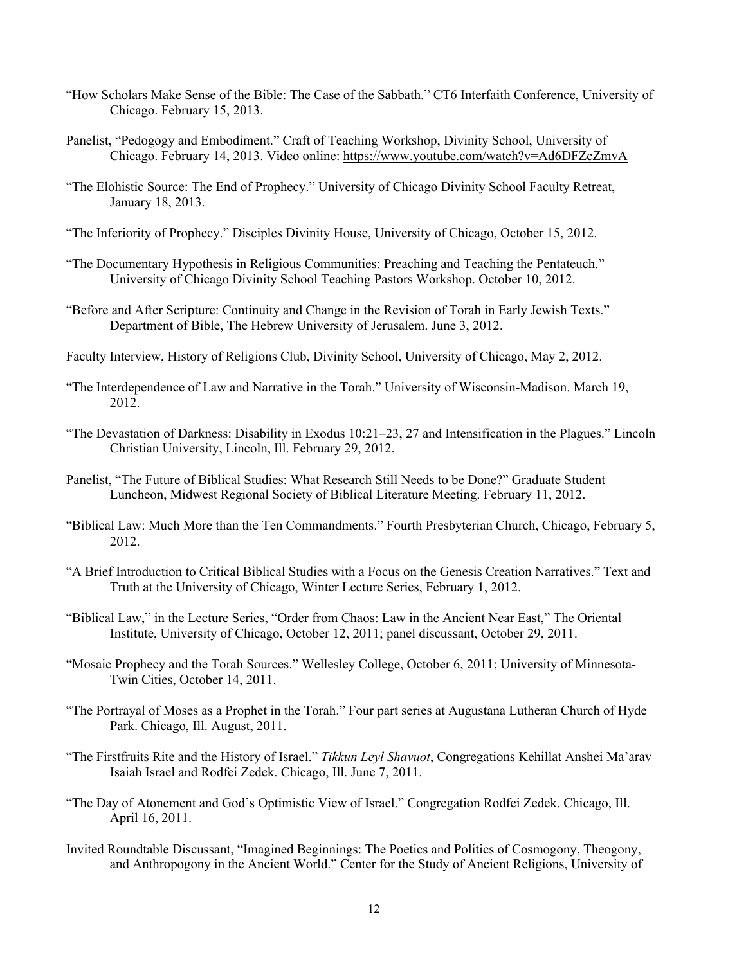- "How Scholars Make Sense of the Bible: The Case of the Sabbath." CT6 Interfaith Conference, University of Chicago. February 15, 2013.
- Panelist, "Pedogogy and Embodiment." Craft of Teaching Workshop, Divinity School, University of Chicago. February 14, 2013. Video online: https://www.youtube.com/watch?v=Ad6DFZcZmvA
- "The Elohistic Source: The End of Prophecy." University of Chicago Divinity School Faculty Retreat, January 18, 2013.
- "The Inferiority of Prophecy." Disciples Divinity House, University of Chicago, October 15, 2012.
- "The Documentary Hypothesis in Religious Communities: Preaching and Teaching the Pentateuch." University of Chicago Divinity School Teaching Pastors Workshop. October 10, 2012.
- "Before and After Scripture: Continuity and Change in the Revision of Torah in Early Jewish Texts." Department of Bible, The Hebrew University of Jerusalem. June 3, 2012.
- Faculty Interview, History of Religions Club, Divinity School, University of Chicago, May 2, 2012.
- "The Interdependence of Law and Narrative in the Torah." University of Wisconsin-Madison. March 19, 2012.
- "The Devastation of Darkness: Disability in Exodus 10:21–23, 27 and Intensification in the Plagues." Lincoln Christian University, Lincoln, Ill. February 29, 2012.
- Panelist, "The Future of Biblical Studies: What Research Still Needs to be Done?" Graduate Student Luncheon, Midwest Regional Society of Biblical Literature Meeting. February 11, 2012.
- "Biblical Law: Much More than the Ten Commandments." Fourth Presbyterian Church, Chicago, February 5, 2012.
- "A Brief Introduction to Critical Biblical Studies with a Focus on the Genesis Creation Narratives." Text and Truth at the University of Chicago, Winter Lecture Series, February 1, 2012.
- "Biblical Law," in the Lecture Series, "Order from Chaos: Law in the Ancient Near East," The Oriental Institute, University of Chicago, October 12, 2011; panel discussant, October 29, 2011.
- "Mosaic Prophecy and the Torah Sources." Wellesley College, October 6, 2011; University of Minnesota-Twin Cities, October 14, 2011.
- "The Portrayal of Moses as a Prophet in the Torah." Four part series at Augustana Lutheran Church of Hyde Park. Chicago, Ill. August, 2011.
- "The Firstfruits Rite and the History of Israel." *Tikkun Leyl Shavuot*, Congregations Kehillat Anshei Ma'arav Isaiah Israel and Rodfei Zedek. Chicago, Ill. June 7, 2011.
- "The Day of Atonement and God's Optimistic View of Israel." Congregation Rodfei Zedek. Chicago, Ill. April 16, 2011.
- Invited Roundtable Discussant, "Imagined Beginnings: The Poetics and Politics of Cosmogony, Theogony, and Anthropogony in the Ancient World." Center for the Study of Ancient Religions, University of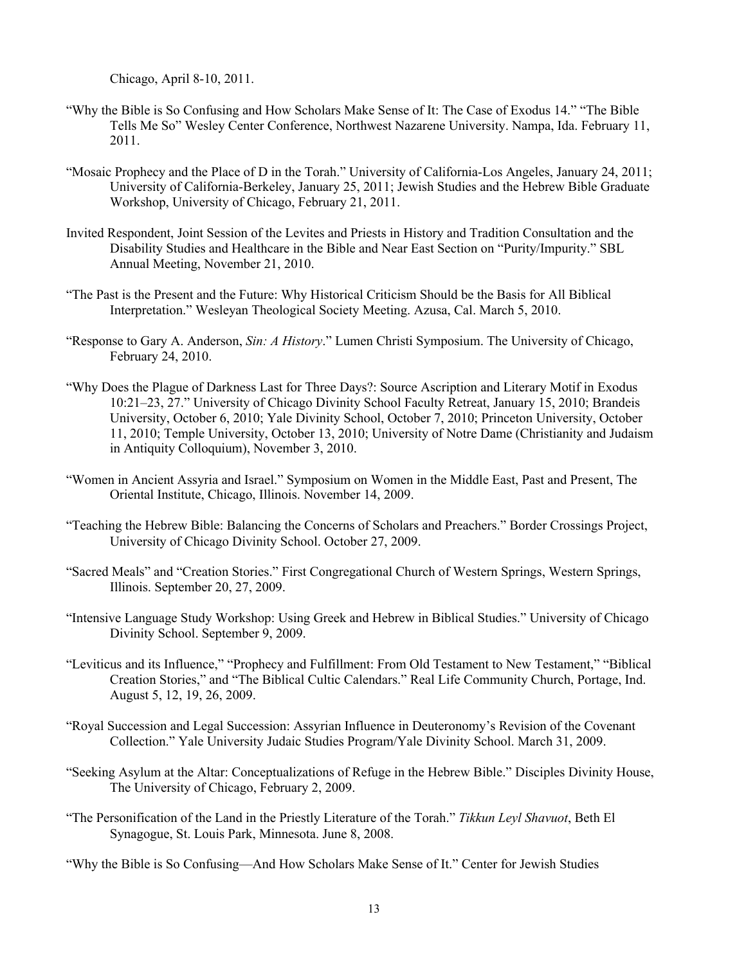Chicago, April 8-10, 2011.

- "Why the Bible is So Confusing and How Scholars Make Sense of It: The Case of Exodus 14." "The Bible Tells Me So" Wesley Center Conference, Northwest Nazarene University. Nampa, Ida. February 11, 2011.
- "Mosaic Prophecy and the Place of D in the Torah." University of California-Los Angeles, January 24, 2011; University of California-Berkeley, January 25, 2011; Jewish Studies and the Hebrew Bible Graduate Workshop, University of Chicago, February 21, 2011.
- Invited Respondent, Joint Session of the Levites and Priests in History and Tradition Consultation and the Disability Studies and Healthcare in the Bible and Near East Section on "Purity/Impurity." SBL Annual Meeting, November 21, 2010.
- "The Past is the Present and the Future: Why Historical Criticism Should be the Basis for All Biblical Interpretation." Wesleyan Theological Society Meeting. Azusa, Cal. March 5, 2010.
- "Response to Gary A. Anderson, *Sin: A History*." Lumen Christi Symposium. The University of Chicago, February 24, 2010.
- "Why Does the Plague of Darkness Last for Three Days?: Source Ascription and Literary Motif in Exodus 10:21–23, 27." University of Chicago Divinity School Faculty Retreat, January 15, 2010; Brandeis University, October 6, 2010; Yale Divinity School, October 7, 2010; Princeton University, October 11, 2010; Temple University, October 13, 2010; University of Notre Dame (Christianity and Judaism in Antiquity Colloquium), November 3, 2010.
- "Women in Ancient Assyria and Israel." Symposium on Women in the Middle East, Past and Present, The Oriental Institute, Chicago, Illinois. November 14, 2009.
- "Teaching the Hebrew Bible: Balancing the Concerns of Scholars and Preachers." Border Crossings Project, University of Chicago Divinity School. October 27, 2009.
- "Sacred Meals" and "Creation Stories." First Congregational Church of Western Springs, Western Springs, Illinois. September 20, 27, 2009.
- "Intensive Language Study Workshop: Using Greek and Hebrew in Biblical Studies." University of Chicago Divinity School. September 9, 2009.
- "Leviticus and its Influence," "Prophecy and Fulfillment: From Old Testament to New Testament," "Biblical Creation Stories," and "The Biblical Cultic Calendars." Real Life Community Church, Portage, Ind. August 5, 12, 19, 26, 2009.
- "Royal Succession and Legal Succession: Assyrian Influence in Deuteronomy's Revision of the Covenant Collection." Yale University Judaic Studies Program/Yale Divinity School. March 31, 2009.
- "Seeking Asylum at the Altar: Conceptualizations of Refuge in the Hebrew Bible." Disciples Divinity House, The University of Chicago, February 2, 2009.
- "The Personification of the Land in the Priestly Literature of the Torah." *Tikkun Leyl Shavuot*, Beth El Synagogue, St. Louis Park, Minnesota. June 8, 2008.
- "Why the Bible is So Confusing—And How Scholars Make Sense of It." Center for Jewish Studies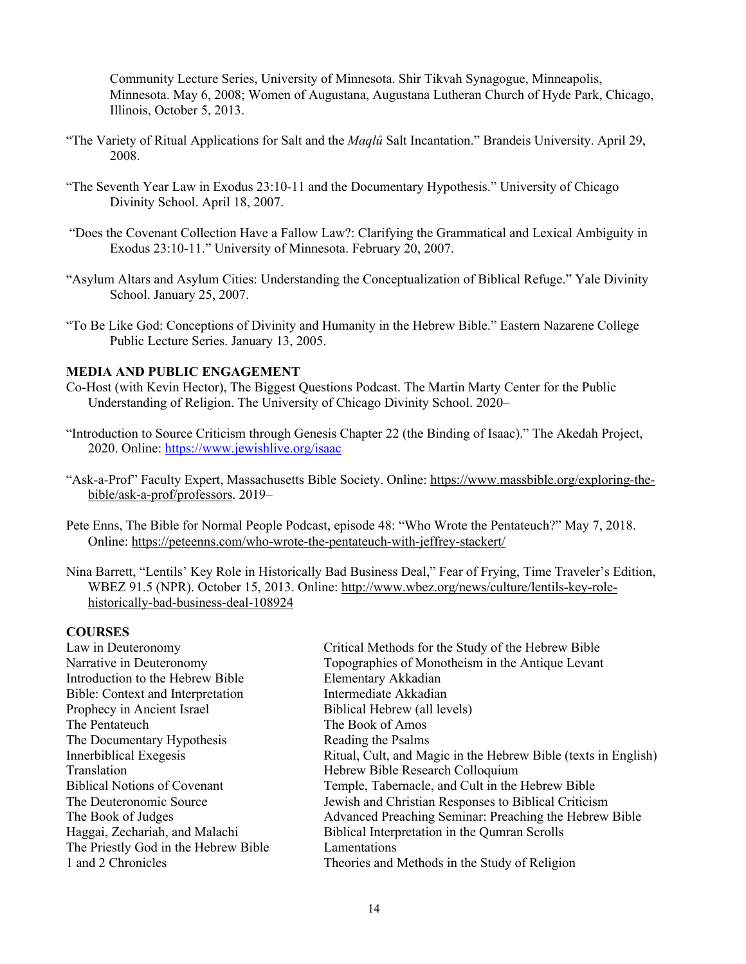Community Lecture Series, University of Minnesota. Shir Tikvah Synagogue, Minneapolis, Minnesota. May 6, 2008; Women of Augustana, Augustana Lutheran Church of Hyde Park, Chicago, Illinois, October 5, 2013.

- "The Variety of Ritual Applications for Salt and the *Maqlû* Salt Incantation." Brandeis University. April 29, 2008.
- "The Seventh Year Law in Exodus 23:10-11 and the Documentary Hypothesis." University of Chicago Divinity School. April 18, 2007.
- "Does the Covenant Collection Have a Fallow Law?: Clarifying the Grammatical and Lexical Ambiguity in Exodus 23:10-11." University of Minnesota. February 20, 2007.
- "Asylum Altars and Asylum Cities: Understanding the Conceptualization of Biblical Refuge." Yale Divinity School. January 25, 2007.
- "To Be Like God: Conceptions of Divinity and Humanity in the Hebrew Bible." Eastern Nazarene College Public Lecture Series. January 13, 2005.

# **MEDIA AND PUBLIC ENGAGEMENT**

- Co-Host (with Kevin Hector), The Biggest Questions Podcast. The Martin Marty Center for the Public Understanding of Religion. The University of Chicago Divinity School. 2020–
- "Introduction to Source Criticism through Genesis Chapter 22 (the Binding of Isaac)." The Akedah Project, 2020. Online: https://www.jewishlive.org/isaac
- "Ask-a-Prof" Faculty Expert, Massachusetts Bible Society. Online: https://www.massbible.org/exploring-thebible/ask-a-prof/professors. 2019–
- Pete Enns, The Bible for Normal People Podcast, episode 48: "Who Wrote the Pentateuch?" May 7, 2018. Online: https://peteenns.com/who-wrote-the-pentateuch-with-jeffrey-stackert/
- Nina Barrett, "Lentils' Key Role in Historically Bad Business Deal," Fear of Frying, Time Traveler's Edition, WBEZ 91.5 (NPR). October 15, 2013. Online: http://www.wbez.org/news/culture/lentils-key-rolehistorically-bad-business-deal-108924

### **COURSES**

| Critical Methods for the Study of the Hebrew Bible             |
|----------------------------------------------------------------|
| Topographies of Monotheism in the Antique Levant               |
| Elementary Akkadian                                            |
| Intermediate Akkadian                                          |
| Biblical Hebrew (all levels)                                   |
| The Book of Amos                                               |
| Reading the Psalms                                             |
| Ritual, Cult, and Magic in the Hebrew Bible (texts in English) |
| Hebrew Bible Research Colloquium                               |
| Temple, Tabernacle, and Cult in the Hebrew Bible               |
| Jewish and Christian Responses to Biblical Criticism           |
| Advanced Preaching Seminar: Preaching the Hebrew Bible         |
| Biblical Interpretation in the Qumran Scrolls                  |
| Lamentations                                                   |
| Theories and Methods in the Study of Religion                  |
|                                                                |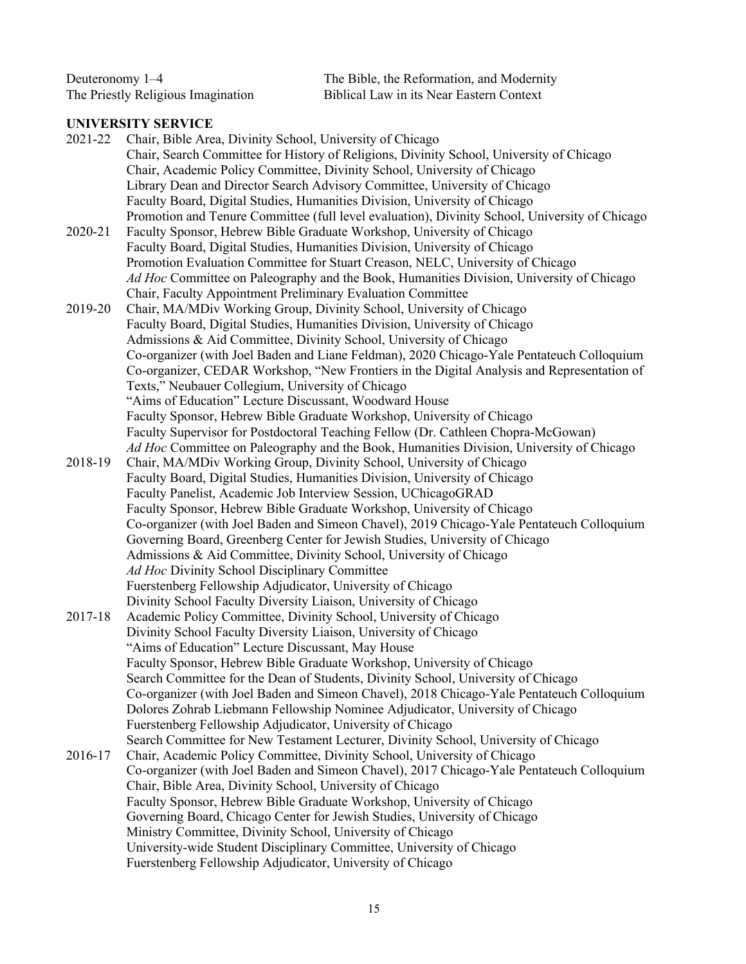| Deuteronomy $1-4$                  | The Bible, the Reformation, and Modernity |
|------------------------------------|-------------------------------------------|
| The Priestly Religious Imagination | Biblical Law in its Near Eastern Context  |

# **UNIVERSITY SERVICE**

| 2021-22 | Chair, Bible Area, Divinity School, University of Chicago                                                                                                                  |
|---------|----------------------------------------------------------------------------------------------------------------------------------------------------------------------------|
|         | Chair, Search Committee for History of Religions, Divinity School, University of Chicago                                                                                   |
|         | Chair, Academic Policy Committee, Divinity School, University of Chicago                                                                                                   |
|         | Library Dean and Director Search Advisory Committee, University of Chicago                                                                                                 |
|         | Faculty Board, Digital Studies, Humanities Division, University of Chicago                                                                                                 |
|         | Promotion and Tenure Committee (full level evaluation), Divinity School, University of Chicago                                                                             |
| 2020-21 | Faculty Sponsor, Hebrew Bible Graduate Workshop, University of Chicago                                                                                                     |
|         | Faculty Board, Digital Studies, Humanities Division, University of Chicago                                                                                                 |
|         | Promotion Evaluation Committee for Stuart Creason, NELC, University of Chicago                                                                                             |
|         | Ad Hoc Committee on Paleography and the Book, Humanities Division, University of Chicago                                                                                   |
|         | Chair, Faculty Appointment Preliminary Evaluation Committee                                                                                                                |
| 2019-20 | Chair, MA/MDiv Working Group, Divinity School, University of Chicago                                                                                                       |
|         | Faculty Board, Digital Studies, Humanities Division, University of Chicago                                                                                                 |
|         | Admissions & Aid Committee, Divinity School, University of Chicago                                                                                                         |
|         | Co-organizer (with Joel Baden and Liane Feldman), 2020 Chicago-Yale Pentateuch Colloquium                                                                                  |
|         | Co-organizer, CEDAR Workshop, "New Frontiers in the Digital Analysis and Representation of                                                                                 |
|         | Texts," Neubauer Collegium, University of Chicago                                                                                                                          |
|         | "Aims of Education" Lecture Discussant, Woodward House                                                                                                                     |
|         | Faculty Sponsor, Hebrew Bible Graduate Workshop, University of Chicago                                                                                                     |
|         | Faculty Supervisor for Postdoctoral Teaching Fellow (Dr. Cathleen Chopra-McGowan)                                                                                          |
|         | Ad Hoc Committee on Paleography and the Book, Humanities Division, University of Chicago                                                                                   |
| 2018-19 | Chair, MA/MDiv Working Group, Divinity School, University of Chicago                                                                                                       |
|         | Faculty Board, Digital Studies, Humanities Division, University of Chicago                                                                                                 |
|         | Faculty Panelist, Academic Job Interview Session, UChicagoGRAD                                                                                                             |
|         | Faculty Sponsor, Hebrew Bible Graduate Workshop, University of Chicago                                                                                                     |
|         | Co-organizer (with Joel Baden and Simeon Chavel), 2019 Chicago-Yale Pentateuch Colloquium                                                                                  |
|         | Governing Board, Greenberg Center for Jewish Studies, University of Chicago                                                                                                |
|         | Admissions & Aid Committee, Divinity School, University of Chicago                                                                                                         |
|         | Ad Hoc Divinity School Disciplinary Committee                                                                                                                              |
|         | Fuerstenberg Fellowship Adjudicator, University of Chicago                                                                                                                 |
|         | Divinity School Faculty Diversity Liaison, University of Chicago                                                                                                           |
| 2017-18 | Academic Policy Committee, Divinity School, University of Chicago                                                                                                          |
|         | Divinity School Faculty Diversity Liaison, University of Chicago                                                                                                           |
|         | "Aims of Education" Lecture Discussant, May House                                                                                                                          |
|         | Faculty Sponsor, Hebrew Bible Graduate Workshop, University of Chicago                                                                                                     |
|         | Search Committee for the Dean of Students, Divinity School, University of Chicago                                                                                          |
|         | Co-organizer (with Joel Baden and Simeon Chavel), 2018 Chicago-Yale Pentateuch Colloquium<br>Dolores Zohrab Liebmann Fellowship Nominee Adjudicator, University of Chicago |
|         | Fuerstenberg Fellowship Adjudicator, University of Chicago                                                                                                                 |
|         | Search Committee for New Testament Lecturer, Divinity School, University of Chicago                                                                                        |
| 2016-17 | Chair, Academic Policy Committee, Divinity School, University of Chicago                                                                                                   |
|         | Co-organizer (with Joel Baden and Simeon Chavel), 2017 Chicago-Yale Pentateuch Colloquium                                                                                  |
|         | Chair, Bible Area, Divinity School, University of Chicago                                                                                                                  |
|         | Faculty Sponsor, Hebrew Bible Graduate Workshop, University of Chicago                                                                                                     |
|         | Governing Board, Chicago Center for Jewish Studies, University of Chicago                                                                                                  |
|         | Ministry Committee, Divinity School, University of Chicago                                                                                                                 |
|         | University-wide Student Disciplinary Committee, University of Chicago                                                                                                      |
|         | Fuerstenberg Fellowship Adjudicator, University of Chicago                                                                                                                 |
|         |                                                                                                                                                                            |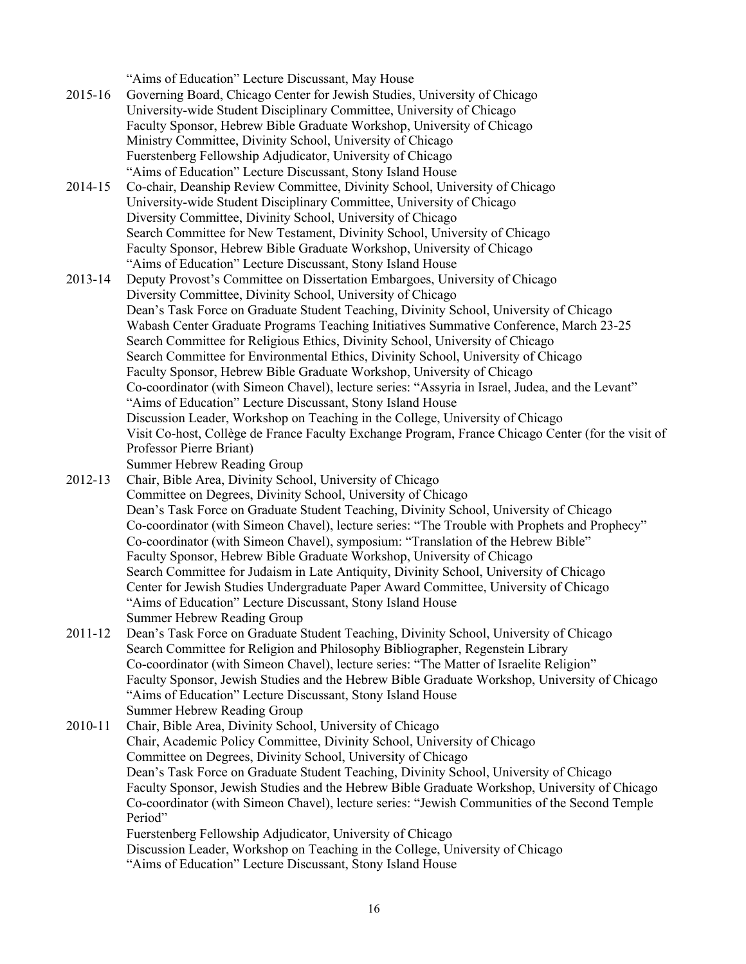"Aims of Education" Lecture Discussant, May House

- 2015-16 Governing Board, Chicago Center for Jewish Studies, University of Chicago University-wide Student Disciplinary Committee, University of Chicago Faculty Sponsor, Hebrew Bible Graduate Workshop, University of Chicago Ministry Committee, Divinity School, University of Chicago Fuerstenberg Fellowship Adjudicator, University of Chicago "Aims of Education" Lecture Discussant, Stony Island House
- 2014-15 Co-chair, Deanship Review Committee, Divinity School, University of Chicago University-wide Student Disciplinary Committee, University of Chicago Diversity Committee, Divinity School, University of Chicago Search Committee for New Testament, Divinity School, University of Chicago Faculty Sponsor, Hebrew Bible Graduate Workshop, University of Chicago "Aims of Education" Lecture Discussant, Stony Island House
- 2013-14 Deputy Provost's Committee on Dissertation Embargoes, University of Chicago Diversity Committee, Divinity School, University of Chicago Dean's Task Force on Graduate Student Teaching, Divinity School, University of Chicago Wabash Center Graduate Programs Teaching Initiatives Summative Conference, March 23-25 Search Committee for Religious Ethics, Divinity School, University of Chicago Search Committee for Environmental Ethics, Divinity School, University of Chicago Faculty Sponsor, Hebrew Bible Graduate Workshop, University of Chicago Co-coordinator (with Simeon Chavel), lecture series: "Assyria in Israel, Judea, and the Levant" "Aims of Education" Lecture Discussant, Stony Island House Discussion Leader, Workshop on Teaching in the College, University of Chicago Visit Co-host, Collège de France Faculty Exchange Program, France Chicago Center (for the visit of Professor Pierre Briant)
- Summer Hebrew Reading Group
- 2012-13 Chair, Bible Area, Divinity School, University of Chicago Committee on Degrees, Divinity School, University of Chicago Dean's Task Force on Graduate Student Teaching, Divinity School, University of Chicago Co-coordinator (with Simeon Chavel), lecture series: "The Trouble with Prophets and Prophecy" Co-coordinator (with Simeon Chavel), symposium: "Translation of the Hebrew Bible" Faculty Sponsor, Hebrew Bible Graduate Workshop, University of Chicago Search Committee for Judaism in Late Antiquity, Divinity School, University of Chicago Center for Jewish Studies Undergraduate Paper Award Committee, University of Chicago "Aims of Education" Lecture Discussant, Stony Island House Summer Hebrew Reading Group
- 2011-12 Dean's Task Force on Graduate Student Teaching, Divinity School, University of Chicago Search Committee for Religion and Philosophy Bibliographer, Regenstein Library Co-coordinator (with Simeon Chavel), lecture series: "The Matter of Israelite Religion" Faculty Sponsor, Jewish Studies and the Hebrew Bible Graduate Workshop, University of Chicago "Aims of Education" Lecture Discussant, Stony Island House Summer Hebrew Reading Group
- 2010-11 Chair, Bible Area, Divinity School, University of Chicago Chair, Academic Policy Committee, Divinity School, University of Chicago Committee on Degrees, Divinity School, University of Chicago Dean's Task Force on Graduate Student Teaching, Divinity School, University of Chicago Faculty Sponsor, Jewish Studies and the Hebrew Bible Graduate Workshop, University of Chicago Co-coordinator (with Simeon Chavel), lecture series: "Jewish Communities of the Second Temple Period" Fuerstenberg Fellowship Adjudicator, University of Chicago Discussion Leader, Workshop on Teaching in the College, University of Chicago

"Aims of Education" Lecture Discussant, Stony Island House